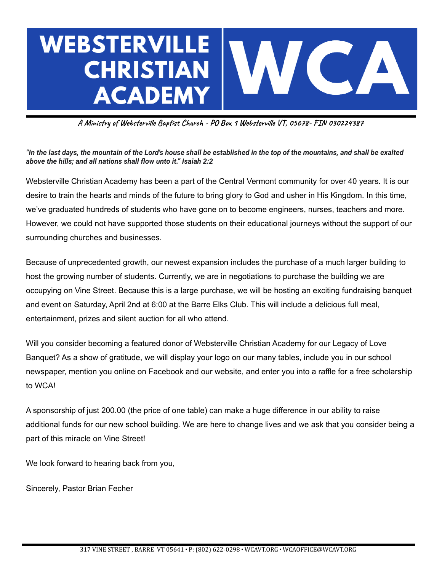

**A Ministry of Websterville Baptist Church - PO Box 1 Websterville VT, 05678- FIN 030224387**

"In the last days, the mountain of the Lord's house shall be established in the top of the mountains, and shall be exalted *above the hills; and all nations shall flow unto it." Isaiah 2:2*

Websterville Christian Academy has been a part of the Central Vermont community for over 40 years. It is our desire to train the hearts and minds of the future to bring glory to God and usher in His Kingdom. In this time, we've graduated hundreds of students who have gone on to become engineers, nurses, teachers and more. However, we could not have supported those students on their educational journeys without the support of our surrounding churches and businesses.

Because of unprecedented growth, our newest expansion includes the purchase of a much larger building to host the growing number of students. Currently, we are in negotiations to purchase the building we are occupying on Vine Street. Because this is a large purchase, we will be hosting an exciting fundraising banquet and event on Saturday, April 2nd at 6:00 at the Barre Elks Club. This will include a delicious full meal, entertainment, prizes and silent auction for all who attend.

Will you consider becoming a featured donor of Websterville Christian Academy for our Legacy of Love Banquet? As a show of gratitude, we will display your logo on our many tables, include you in our school newspaper, mention you online on Facebook and our website, and enter you into a raffle for a free scholarship to WCA!

A sponsorship of just 200.00 (the price of one table) can make a huge difference in our ability to raise additional funds for our new school building. We are here to change lives and we ask that you consider being a part of this miracle on Vine Street!

We look forward to hearing back from you,

Sincerely, Pastor Brian Fecher